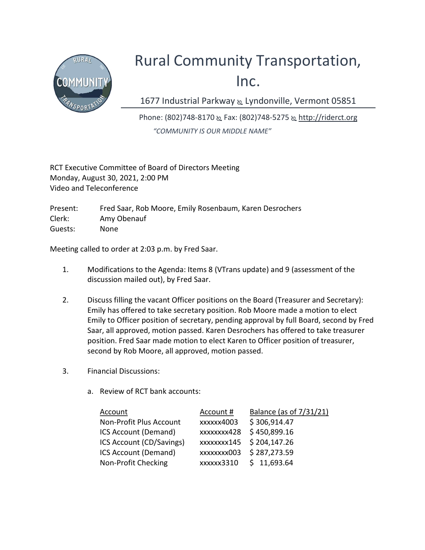

## Rural Community Transportation, Inc.

1677 Industrial Parkway & Lyndonville, Vermont 05851

Phone: (802)748-8170 & Fax: (802)748-5275 & http://riderct.org "COMMUNITY IS OUR MIDDLE NAME"

RCT Executive Committee of Board of Directors Meeting Monday, August 30, 2021, 2:00 PM Video and Teleconference

Present: Fred Saar, Rob Moore, Emily Rosenbaum, Karen Desrochers Clerk: Amy Obenauf Guests: None

Meeting called to order at 2:03 p.m. by Fred Saar.

- 1. Modifications to the Agenda: Items 8 (VTrans update) and 9 (assessment of the discussion mailed out), by Fred Saar.
- 2. Discuss filling the vacant Officer positions on the Board (Treasurer and Secretary): Emily has offered to take secretary position. Rob Moore made a motion to elect Emily to Officer position of secretary, pending approval by full Board, second by Fred Saar, all approved, motion passed. Karen Desrochers has offered to take treasurer position. Fred Saar made motion to elect Karen to Officer position of treasurer, second by Rob Moore, all approved, motion passed.
- 3. Financial Discussions:
	- a. Review of RCT bank accounts:

| Account                  | Account#                | Balance (as of 7/31/21) |
|--------------------------|-------------------------|-------------------------|
| Non-Profit Plus Account  | xxxxx4003               | \$306,914.47            |
| ICS Account (Demand)     | xxxxxxx428              | \$450,899.16            |
| ICS Account (CD/Savings) | xxxxxxx145 \$204,147.26 |                         |
| ICS Account (Demand)     | xxxxxxxx003             | \$287,273.59            |
| Non-Profit Checking      | xxxxxx3310              | \$11,693.64             |